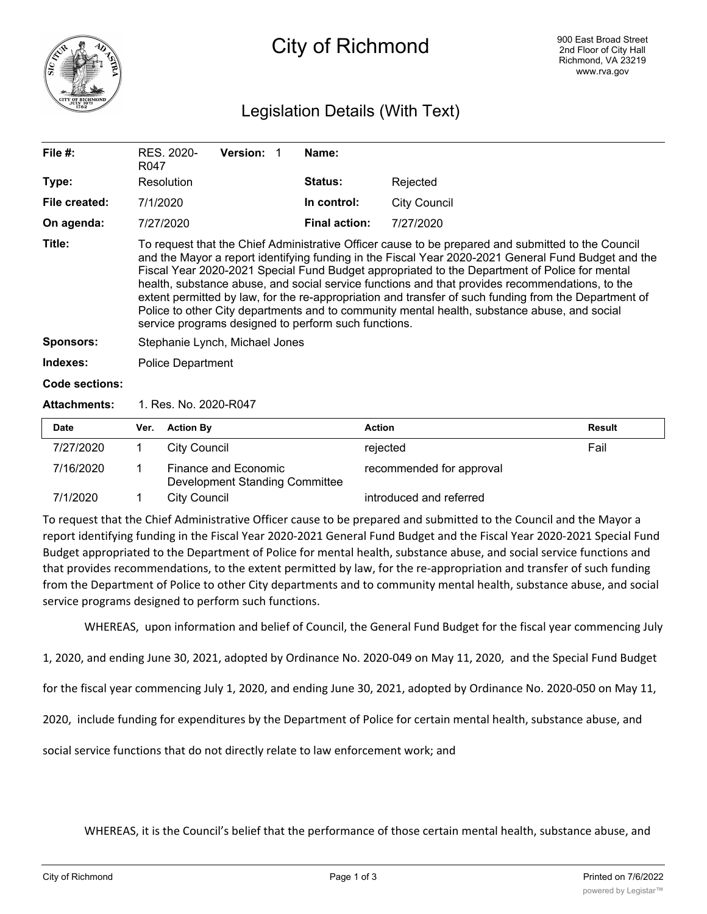

# City of Richmond

# Legislation Details (With Text)

| File #:             | RES. 2020-<br>R047                                                                                                                                                                                                                                                                                                                                                                                                                                                                                                                                                                                                                                                             | Version: | Name:                |                     |        |  |  |  |
|---------------------|--------------------------------------------------------------------------------------------------------------------------------------------------------------------------------------------------------------------------------------------------------------------------------------------------------------------------------------------------------------------------------------------------------------------------------------------------------------------------------------------------------------------------------------------------------------------------------------------------------------------------------------------------------------------------------|----------|----------------------|---------------------|--------|--|--|--|
| Type:               | Resolution                                                                                                                                                                                                                                                                                                                                                                                                                                                                                                                                                                                                                                                                     |          | <b>Status:</b>       | Rejected            |        |  |  |  |
| File created:       | 7/1/2020                                                                                                                                                                                                                                                                                                                                                                                                                                                                                                                                                                                                                                                                       |          | In control:          | <b>City Council</b> |        |  |  |  |
| On agenda:          | 7/27/2020                                                                                                                                                                                                                                                                                                                                                                                                                                                                                                                                                                                                                                                                      |          | <b>Final action:</b> | 7/27/2020           |        |  |  |  |
| Title:              | To request that the Chief Administrative Officer cause to be prepared and submitted to the Council<br>and the Mayor a report identifying funding in the Fiscal Year 2020-2021 General Fund Budget and the<br>Fiscal Year 2020-2021 Special Fund Budget appropriated to the Department of Police for mental<br>health, substance abuse, and social service functions and that provides recommendations, to the<br>extent permitted by law, for the re-appropriation and transfer of such funding from the Department of<br>Police to other City departments and to community mental health, substance abuse, and social<br>service programs designed to perform such functions. |          |                      |                     |        |  |  |  |
| <b>Sponsors:</b>    | Stephanie Lynch, Michael Jones                                                                                                                                                                                                                                                                                                                                                                                                                                                                                                                                                                                                                                                 |          |                      |                     |        |  |  |  |
| Indexes:            | <b>Police Department</b>                                                                                                                                                                                                                                                                                                                                                                                                                                                                                                                                                                                                                                                       |          |                      |                     |        |  |  |  |
| Code sections:      |                                                                                                                                                                                                                                                                                                                                                                                                                                                                                                                                                                                                                                                                                |          |                      |                     |        |  |  |  |
| <b>Attachments:</b> | 1. Res. No. 2020-R047                                                                                                                                                                                                                                                                                                                                                                                                                                                                                                                                                                                                                                                          |          |                      |                     |        |  |  |  |
| <b>Date</b>         | <b>Action By</b><br>Ver.                                                                                                                                                                                                                                                                                                                                                                                                                                                                                                                                                                                                                                                       |          | <b>Action</b>        |                     | Result |  |  |  |

| Date      | Ver. | <b>Action By</b>                                              | Action                   | Result |
|-----------|------|---------------------------------------------------------------|--------------------------|--------|
| 7/27/2020 |      | City Council                                                  | rejected                 | Fail   |
| 7/16/2020 |      | Finance and Economic<br><b>Development Standing Committee</b> | recommended for approval |        |
| 7/1/2020  |      | City Council                                                  | introduced and referred  |        |

To request that the Chief Administrative Officer cause to be prepared and submitted to the Council and the Mayor a report identifying funding in the Fiscal Year 2020-2021 General Fund Budget and the Fiscal Year 2020-2021 Special Fund Budget appropriated to the Department of Police for mental health, substance abuse, and social service functions and that provides recommendations, to the extent permitted by law, for the re-appropriation and transfer of such funding from the Department of Police to other City departments and to community mental health, substance abuse, and social service programs designed to perform such functions.

WHEREAS, upon information and belief of Council, the General Fund Budget for the fiscal year commencing July

1, 2020, and ending June 30, 2021, adopted by Ordinance No. 2020-049 on May 11, 2020, and the Special Fund Budget

for the fiscal year commencing July 1, 2020, and ending June 30, 2021, adopted by Ordinance No. 2020-050 on May 11,

2020, include funding for expenditures by the Department of Police for certain mental health, substance abuse, and

social service functions that do not directly relate to law enforcement work; and

WHEREAS, it is the Council's belief that the performance of those certain mental health, substance abuse, and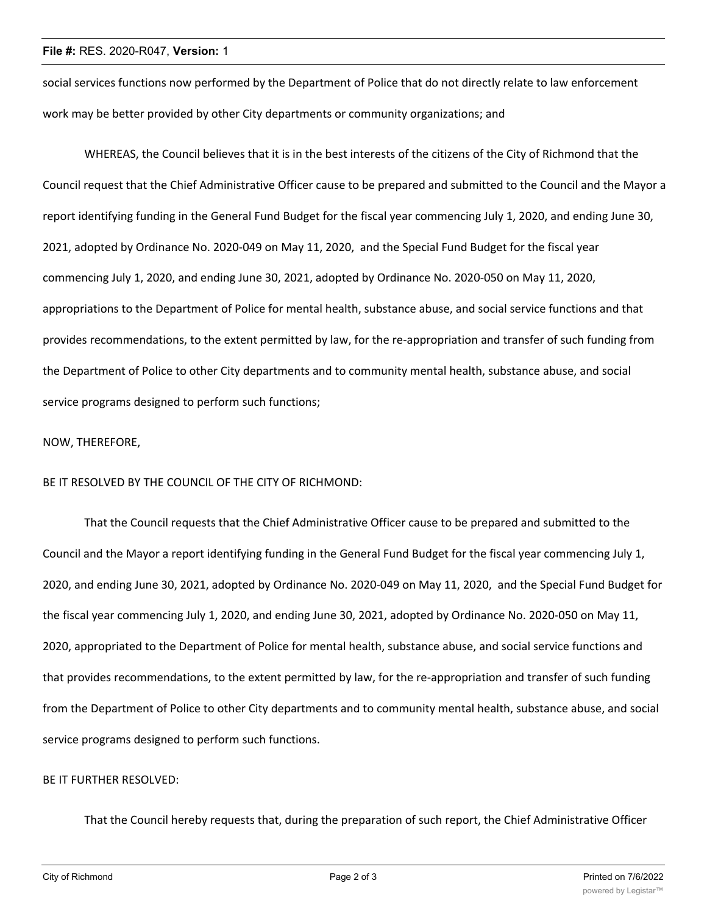#### **File #:** RES. 2020-R047, **Version:** 1

social services functions now performed by the Department of Police that do not directly relate to law enforcement work may be better provided by other City departments or community organizations; and

WHEREAS, the Council believes that it is in the best interests of the citizens of the City of Richmond that the Council request that the Chief Administrative Officer cause to be prepared and submitted to the Council and the Mayor a report identifying funding in the General Fund Budget for the fiscal year commencing July 1, 2020, and ending June 30, 2021, adopted by Ordinance No. 2020-049 on May 11, 2020, and the Special Fund Budget for the fiscal year commencing July 1, 2020, and ending June 30, 2021, adopted by Ordinance No. 2020-050 on May 11, 2020, appropriations to the Department of Police for mental health, substance abuse, and social service functions and that provides recommendations, to the extent permitted by law, for the re-appropriation and transfer of such funding from the Department of Police to other City departments and to community mental health, substance abuse, and social service programs designed to perform such functions;

#### NOW, THEREFORE,

#### BE IT RESOLVED BY THE COUNCIL OF THE CITY OF RICHMOND:

That the Council requests that the Chief Administrative Officer cause to be prepared and submitted to the Council and the Mayor a report identifying funding in the General Fund Budget for the fiscal year commencing July 1, 2020, and ending June 30, 2021, adopted by Ordinance No. 2020-049 on May 11, 2020, and the Special Fund Budget for the fiscal year commencing July 1, 2020, and ending June 30, 2021, adopted by Ordinance No. 2020-050 on May 11, 2020, appropriated to the Department of Police for mental health, substance abuse, and social service functions and that provides recommendations, to the extent permitted by law, for the re-appropriation and transfer of such funding from the Department of Police to other City departments and to community mental health, substance abuse, and social service programs designed to perform such functions.

## BE IT FURTHER RESOLVED:

That the Council hereby requests that, during the preparation of such report, the Chief Administrative Officer